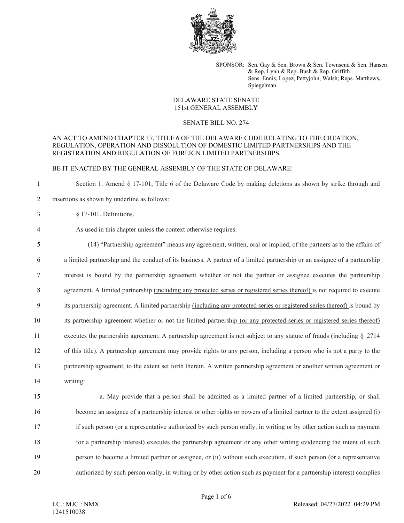

SPONSOR: Sen. Gay & Sen. Brown & Sen. Townsend & Sen. Hansen & Rep. Lynn & Rep. Bush & Rep. Griffith Sens. Ennis, Lopez, Pettyjohn, Walsh; Reps. Matthews, Spiegelman

# DELAWARE STATE SENATE 151st GENERAL ASSEMBLY

#### SENATE BILL NO. 274

## AN ACT TO AMEND CHAPTER 17, TITLE 6 OF THE DELAWARE CODE RELATING TO THE CREATION, REGULATION, OPERATION AND DISSOLUTION OF DOMESTIC LIMITED PARTNERSHIPS AND THE REGISTRATION AND REGULATION OF FOREIGN LIMITED PARTNERSHIPS.

# BE IT ENACTED BY THE GENERAL ASSEMBLY OF THE STATE OF DELAWARE:

1 Section 1. Amend § 17-101, Title 6 of the Delaware Code by making deletions as shown by strike through and 2 insertions as shown by underline as follows:

3 § 17-101. Definitions.

# 4 As used in this chapter unless the context otherwise requires:

 (14) "Partnership agreement" means any agreement, written, oral or implied, of the partners as to the affairs of a limited partnership and the conduct of its business. A partner of a limited partnership or an assignee of a partnership interest is bound by the partnership agreement whether or not the partner or assignee executes the partnership agreement. A limited partnership (including any protected series or registered series thereof) is not required to execute its partnership agreement. A limited partnership (including any protected series or registered series thereof) is bound by its partnership agreement whether or not the limited partnership (or any protected series or registered series thereof) executes the partnership agreement. A partnership agreement is not subject to any statute of frauds (including § 2714 of this title). A partnership agreement may provide rights to any person, including a person who is not a party to the partnership agreement, to the extent set forth therein. A written partnership agreement or another written agreement or 14 writing:

 a. May provide that a person shall be admitted as a limited partner of a limited partnership, or shall become an assignee of a partnership interest or other rights or powers of a limited partner to the extent assigned (i) if such person (or a representative authorized by such person orally, in writing or by other action such as payment for a partnership interest) executes the partnership agreement or any other writing evidencing the intent of such person to become a limited partner or assignee, or (ii) without such execution, if such person (or a representative authorized by such person orally, in writing or by other action such as payment for a partnership interest) complies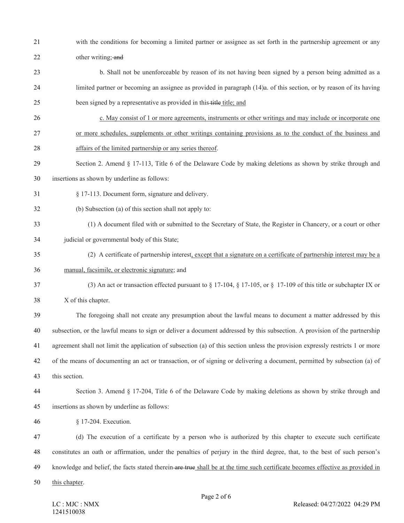- with the conditions for becoming a limited partner or assignee as set forth in the partnership agreement or any 22 other writing; and
- b. Shall not be unenforceable by reason of its not having been signed by a person being admitted as a limited partner or becoming an assignee as provided in paragraph (14)a. of this section, or by reason of its having 25 been signed by a representative as provided in this title title; and
- c. May consist of 1 or more agreements, instruments or other writings and may include or incorporate one or more schedules, supplements or other writings containing provisions as to the conduct of the business and
- affairs of the limited partnership or any series thereof.
- Section 2. Amend § 17-113, Title 6 of the Delaware Code by making deletions as shown by strike through and
- insertions as shown by underline as follows:
- § 17-113. Document form, signature and delivery.
- (b) Subsection (a) of this section shall not apply to:
- (1) A document filed with or submitted to the Secretary of State, the Register in Chancery, or a court or other judicial or governmental body of this State;
- (2) A certificate of partnership interest, except that a signature on a certificate of partnership interest may be a manual, facsimile, or electronic signature; and
- (3) An act or transaction effected pursuant to § 17-104, § 17-105, or §  17-109 of this title or subchapter IX or
- X of this chapter.

 The foregoing shall not create any presumption about the lawful means to document a matter addressed by this subsection, or the lawful means to sign or deliver a document addressed by this subsection. A provision of the partnership agreement shall not limit the application of subsection (a) of this section unless the provision expressly restricts 1 or more of the means of documenting an act or transaction, or of signing or delivering a document, permitted by subsection (a) of

this section.

 Section 3. Amend § 17-204, Title 6 of the Delaware Code by making deletions as shown by strike through and insertions as shown by underline as follows:

§ 17-204. Execution.

 (d) The execution of a certificate by a person who is authorized by this chapter to execute such certificate constitutes an oath or affirmation, under the penalties of perjury in the third degree, that, to the best of such person's 49 knowledge and belief, the facts stated therein are true shall be at the time such certificate becomes effective as provided in

this chapter.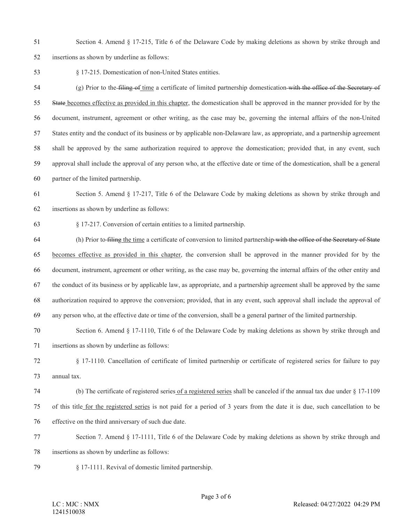Section 4. Amend § 17-215, Title 6 of the Delaware Code by making deletions as shown by strike through and

insertions as shown by underline as follows:

§ 17-215. Domestication of non-United States entities.

 (g) Prior to the filing of time a certificate of limited partnership domestication with the office of the Secretary of 55 State becomes effective as provided in this chapter, the domestication shall be approved in the manner provided for by the document, instrument, agreement or other writing, as the case may be, governing the internal affairs of the non-United States entity and the conduct of its business or by applicable non-Delaware law, as appropriate, and a partnership agreement shall be approved by the same authorization required to approve the domestication; provided that, in any event, such approval shall include the approval of any person who, at the effective date or time of the domestication, shall be a general partner of the limited partnership.

 Section 5. Amend § 17-217, Title 6 of the Delaware Code by making deletions as shown by strike through and insertions as shown by underline as follows:

§ 17-217. Conversion of certain entities to a limited partnership.

 (h) Prior to filing the time a certificate of conversion to limited partnership with the office of the Secretary of State becomes effective as provided in this chapter, the conversion shall be approved in the manner provided for by the document, instrument, agreement or other writing, as the case may be, governing the internal affairs of the other entity and the conduct of its business or by applicable law, as appropriate, and a partnership agreement shall be approved by the same authorization required to approve the conversion; provided, that in any event, such approval shall include the approval of any person who, at the effective date or time of the conversion, shall be a general partner of the limited partnership.

Section 6. Amend § 17-1110, Title 6 of the Delaware Code by making deletions as shown by strike through and

insertions as shown by underline as follows:

 § 17-1110. Cancellation of certificate of limited partnership or certificate of registered series for failure to pay annual tax.

 (b) The certificate of registered series of a registered series shall be canceled if the annual tax due under § 17-1109 of this title for the registered series is not paid for a period of 3 years from the date it is due, such cancellation to be effective on the third anniversary of such due date.

 Section 7. Amend § 17-1111, Title 6 of the Delaware Code by making deletions as shown by strike through and insertions as shown by underline as follows:

§ 17-1111. Revival of domestic limited partnership.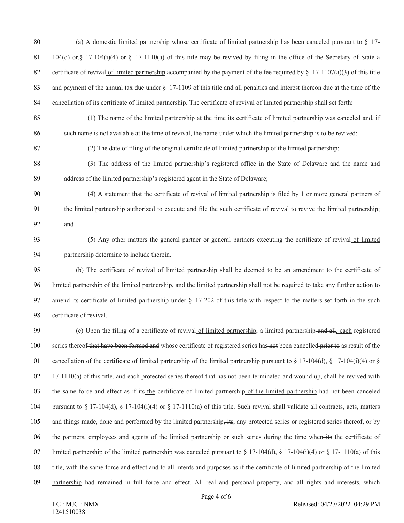- (a) A domestic limited partnership whose certificate of limited partnership has been canceled pursuant to § 17- 81 104(d)  $-$ or, § 17-104(i)(4) or § 17-1110(a) of this title may be revived by filing in the office of the Secretary of State a 82 certificate of revival of limited partnership accompanied by the payment of the fee required by  $\S$  17-1107(a)(3) of this title and payment of the annual tax due under § 17-1109 of this title and all penalties and interest thereon due at the time of the 84 cancellation of its certificate of limited partnership. The certificate of revival of limited partnership shall set forth:
- (1) The name of the limited partnership at the time its certificate of limited partnership was canceled and, if such name is not available at the time of revival, the name under which the limited partnership is to be revived;
- (2) The date of filing of the original certificate of limited partnership of the limited partnership;
- (3) The address of the limited partnership's registered office in the State of Delaware and the name and address of the limited partnership's registered agent in the State of Delaware;
- (4) A statement that the certificate of revival of limited partnership is filed by 1 or more general partners of the limited partnership authorized to execute and file the such certificate of revival to revive the limited partnership; and
- 93 (5) Any other matters the general partner or general partners executing the certificate of revival of limited partnership determine to include therein.
- (b) The certificate of revival of limited partnership shall be deemed to be an amendment to the certificate of limited partnership of the limited partnership, and the limited partnership shall not be required to take any further action to 97 amend its certificate of limited partnership under § 17-202 of this title with respect to the matters set forth in the such certificate of revival.
- (c) Upon the filing of a certificate of revival of limited partnership, a limited partnership and all, each registered 100 series thereof that have been formed and whose certificate of registered series has not been cancelled prior to as result of the 101 cancellation of the certificate of limited partnership of the limited partnership pursuant to  $\S 17$ -104(d),  $\S 17$ -104(i)(4) or  $\S$  17-1110(a) of this title, and each protected series thereof that has not been terminated and wound up, shall be revived with 103 the same force and effect as if-its the certificate of limited partnership of the limited partnership had not been canceled 104 pursuant to § 17-104(d), § 17-104(i)(4) or § 17-1110(a) of this title. Such revival shall validate all contracts, acts, matters 105 and things made, done and performed by the limited partnership, its, any protected series or registered series thereof, or by the partners, employees and agents of the limited partnership or such series during the time when its the certificate of limited partnership of the limited partnership was canceled pursuant to § 17-104(d), § 17-104(i)(4) or § 17-1110(a) of this title, with the same force and effect and to all intents and purposes as if the certificate of limited partnership of the limited partnership had remained in full force and effect. All real and personal property, and all rights and interests, which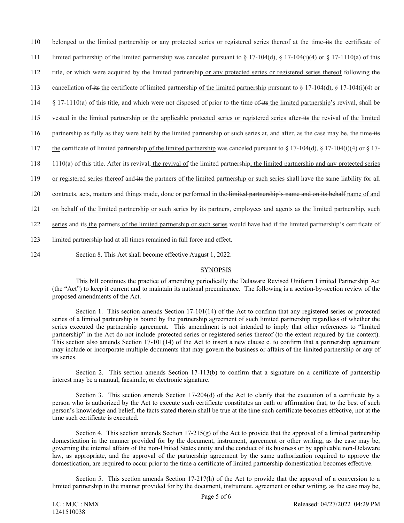110 belonged to the limited partnership or any protected series or registered series thereof at the time its the certificate of

- 111 limited partnership of the limited partnership was canceled pursuant to § 17-104(d), § 17-104(i)(4) or § 17-1110(a) of this
- 112 title, or which were acquired by the limited partnership or any protected series or registered series thereof following the
- 113 cancellation of its the certificate of limited partnership of the limited partnership pursuant to § 17-104(d), § 17-104(i)(4) or
- 114 § 17-1110(a) of this title, and which were not disposed of prior to the time of its the limited partnership's revival, shall be
- 115 vested in the limited partnership or the applicable protected series or registered series after its the revival of the limited
- 116 partnership as fully as they were held by the limited partnership or such series at, and after, as the case may be, the time its
- 117 the certificate of limited partnership of the limited partnership was canceled pursuant to § 17-104(d), § 17-104(i)(4) or § 17-
- 118 1110(a) of this title. After its revival, the revival of the limited partnership, the limited partnership and any protected series
- 119 or registered series thereof and its the partners of the limited partnership or such series shall have the same liability for all
- 120 contracts, acts, matters and things made, done or performed in the limited partnership's name and on its behalf name of and
- 121 on behalf of the limited partnership or such series by its partners, employees and agents as the limited partnership, such
- 122 series and its the partners of the limited partnership or such series would have had if the limited partnership's certificate of
- 123 limited partnership had at all times remained in full force and effect.
- 124 Section 8. This Act shall become effective August 1, 2022.

## **SYNOPSIS**

This bill continues the practice of amending periodically the Delaware Revised Uniform Limited Partnership Act (the "Act") to keep it current and to maintain its national preeminence. The following is a section-by-section review of the proposed amendments of the Act.

Section 1. This section amends Section 17-101(14) of the Act to confirm that any registered series or protected series of a limited partnership is bound by the partnership agreement of such limited partnership regardless of whether the series executed the partnership agreement. This amendment is not intended to imply that other references to "limited partnership" in the Act do not include protected series or registered series thereof (to the extent required by the context). This section also amends Section 17-101(14) of the Act to insert a new clause c. to confirm that a partnership agreement may include or incorporate multiple documents that may govern the business or affairs of the limited partnership or any of its series.

Section 2. This section amends Section 17-113(b) to confirm that a signature on a certificate of partnership interest may be a manual, facsimile, or electronic signature.

Section 3. This section amends Section 17-204(d) of the Act to clarify that the execution of a certificate by a person who is authorized by the Act to execute such certificate constitutes an oath or affirmation that, to the best of such person's knowledge and belief, the facts stated therein shall be true at the time such certificate becomes effective, not at the time such certificate is executed.

Section 4. This section amends Section 17-215(g) of the Act to provide that the approval of a limited partnership domestication in the manner provided for by the document, instrument, agreement or other writing, as the case may be, governing the internal affairs of the non-United States entity and the conduct of its business or by applicable non-Delaware law, as appropriate, and the approval of the partnership agreement by the same authorization required to approve the domestication, are required to occur prior to the time a certificate of limited partnership domestication becomes effective.

Section 5. This section amends Section 17-217(h) of the Act to provide that the approval of a conversion to a limited partnership in the manner provided for by the document, instrument, agreement or other writing, as the case may be,